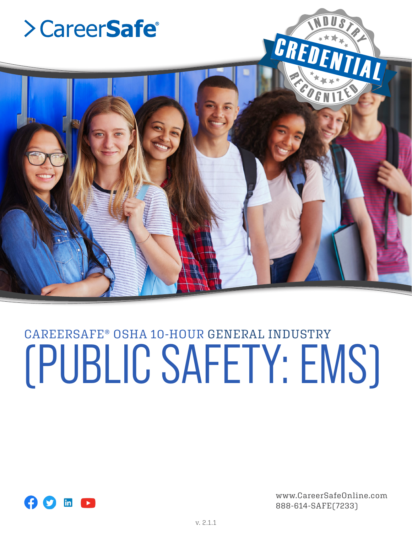

# CAREERSAFE® OSHA 10-HOUR GENERAL INDUSTRY (PUBLIC SAFETY: EMS)



www.CareerSafeOnline.com 888-614-SAFE(7233)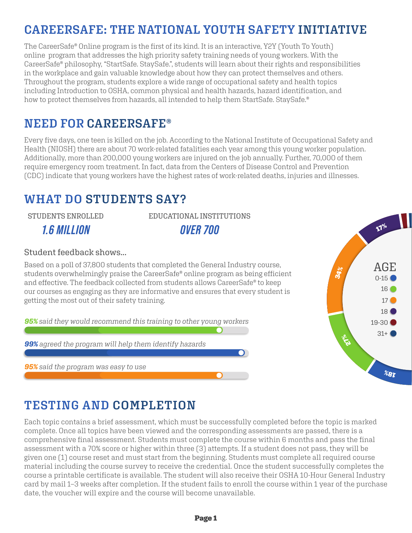# **CAREERSAFE: THE NATIONAL YOUTH SAFETY INITIATIVE**

The CareerSafe® Online program is the first of its kind. It is an interactive, Y2Y (Youth To Youth) online program that addresses the high priority safety training needs of young workers. With the CareerSafe® philosophy, "StartSafe. StaySafe.", students will learn about their rights and responsibilities in the workplace and gain valuable knowledge about how they can protect themselves and others. Throughout the program, students explore a wide range of occupational safety and health topics including Introduction to OSHA, common physical and health hazards, hazard identification, and how to protect themselves from hazards, all intended to help them StartSafe. StaySafe.®

## **NEED FOR CAREERSAFE®**

Every five days, one teen is killed on the job. According to the National Institute of Occupational Safety and Health (NIOSH) there are about 70 work-related fatalities each year among this young worker population. Additionally, more than 200,000 young workers are injured on the job annually. Further, 70,000 of them require emergency room treatment. In fact, data from the Centers of Disease Control and Prevention (CDC) indicate that young workers have the highest rates of work-related deaths, injuries and illnesses.

## **WHAT DO STUDENTS SAY?**

STUDENTS ENROLLED *1.6 MILLION*

EDUCATIONAL INSTITUTIONS *OVER 700*

#### Student feedback shows...

Based on a poll of 37,800 students that completed the General Industry course, students overwhelmingly praise the CareerSafe® online program as being efficient and effective. The feedback collected from students allows CareerSafe® to keep our courses as engaging as they are informative and ensures that every student is getting the most out of their safety training.

*95% said they would recommend this training to other young workers*

*99% agreed the program will help them identify hazards*

*95% said the program was easy to use*



## **TESTING AND COMPLETION**

Each topic contains a brief assessment, which must be successfully completed before the topic is marked complete. Once all topics have been viewed and the corresponding assessments are passed, there is a comprehensive final assessment. Students must complete the course within 6 months and pass the final assessment with a 70% score or higher within three (3) attempts. If a student does not pass, they will be given one (1) course reset and must start from the beginning. Students must complete all required course material including the course survey to receive the credential. Once the student successfully completes the course a printable certificate is available. The student will also receive their OSHA 10-Hour General Industry card by mail 1–3 weeks after completion. If the student fails to enroll the course within 1 year of the purchase date, the voucher will expire and the course will become unavailable.

 $\bigcap$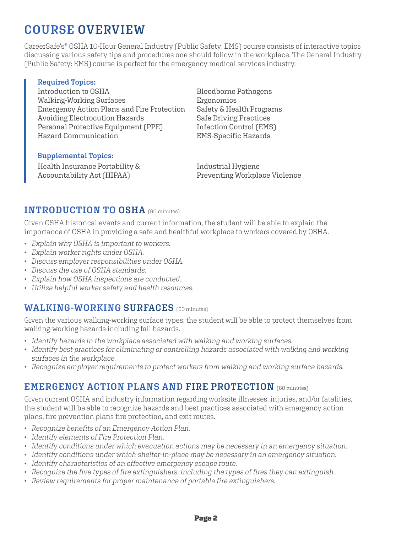# **COURSE OVERVIEW**

CareerSafe's® OSHA 10-Hour General Industry (Public Safety: EMS) course consists of interactive topics discussing various safety tips and procedures one should follow in the workplace. The General Industry (Public Safety: EMS) course is perfect for the emergency medical services industry.

#### **Required Topics:**

Introduction to OSHA Walking-Working Surfaces Emergency Action Plans and Fire Protection Avoiding Electrocution Hazards Personal Protective Equipment (PPE) Hazard Communication

#### **Supplemental Topics:**

Health Insurance Portability & Accountability Act (HIPAA)

Bloodborne Pathogens Ergonomics Safety & Health Programs Safe Driving Practices Infection Control (EMS) EMS-Specific Hazards

Industrial Hygiene Preventing Workplace Violence

#### **INTRODUCTION TO OSHA** (60 minutes)

Given OSHA historical events and current information, the student will be able to explain the importance of OSHA in providing a safe and healthful workplace to workers covered by OSHA.

- *Explain why OSHA is important to workers.*
- *Explain worker rights under OSHA.*
- *Discuss employer responsibilities under OSHA.*
- *Discuss the use of OSHA standards.*
- *Explain how OSHA inspections are conducted.*
- *Utilize helpful worker safety and health resources.*

#### **WALKING-WORKING SURFACES** (60 minutes)

Given the various walking-working surface types, the student will be able to protect themselves from walking-working hazards including fall hazards.

- *Identify hazards in the workplace associated with walking and working surfaces.*
- *Identify best practices for eliminating or controlling hazards associated with walking and working surfaces in the workplace.*
- *Recognize employer requirements to protect workers from walking and working surface hazards.*

#### **EMERGENCY ACTION PLANS AND FIRE PROTECTION** (60 minutes)

Given current OSHA and industry information regarding worksite illnesses, injuries, and/or fatalities, the student will be able to recognize hazards and best practices associated with emergency action plans, fire prevention plans fire protection, and exit routes.

- *Recognize benefits of an Emergency Action Plan.*
- *Identify elements of Fire Protection Plan.*
- *Identify conditions under which evacuation actions may be necessary in an emergency situation.*
- *Identify conditions under which shelter-in-place may be necessary in an emergency situation.*
- *Identify characteristics of an effective emergency escape route.*
- *Recognize the five types of fire extinguishers, including the types of fires they can extinguish.*
- *Review requirements for proper maintenance of portable fire extinguishers.*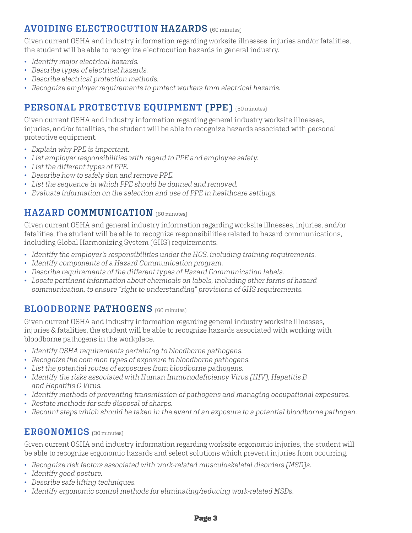### **AVOIDING ELECTROCUTION HAZARDS** (60 minutes)

Given current OSHA and industry information regarding worksite illnesses, injuries and/or fatalities, the student will be able to recognize electrocution hazards in general industry.

- *Identify major electrical hazards.*
- *Describe types of electrical hazards.*
- *Describe electrical protection methods.*
- *Recognize employer requirements to protect workers from electrical hazards.*

## **PERSONAL PROTECTIVE EQUIPMENT (PPE)** (60 minutes)

Given current OSHA and industry information regarding general industry worksite illnesses, injuries, and/or fatalities, the student will be able to recognize hazards associated with personal protective equipment.

- *Explain why PPE is important.*
- *List employer responsibilities with regard to PPE and employee safety.*
- *List the different types of PPE.*
- *Describe how to safely don and remove PPE.*
- *List the sequence in which PPE should be donned and removed.*
- *Evaluate information on the selection and use of PPE in healthcare settings.*

#### **HAZARD COMMUNICATION** (60 minutes)

Given current OSHA and general industry information regarding worksite illnesses, injuries, and/or fatalities, the student will be able to recognize responsibilities related to hazard communications, including Global Harmonizing System (GHS) requirements.

- *Identify the employer's responsibilities under the HCS, including training requirements.*
- *Identify components of a Hazard Communication program.*
- *Describe requirements of the different types of Hazard Communication labels.*
- *Locate pertinent information about chemicals on labels, including other forms of hazard communication, to ensure "right to understanding" provisions of GHS requirements.*

#### **BLOODBORNE PATHOGENS** [60 minutes]

Given current OSHA and industry information regarding general industry worksite illnesses, injuries & fatalities, the student will be able to recognize hazards associated with working with bloodborne pathogens in the workplace.

- *Identify OSHA requirements pertaining to bloodborne pathogens.*
- *Recognize the common types of exposure to bloodborne pathogens.*
- *List the potential routes of exposures from bloodborne pathogens.*
- *Identify the risks associated with Human Immunodeficiency Virus (HIV), Hepatitis B and Hepatitis C Virus.*
- *Identify methods of preventing transmission of pathogens and managing occupational exposures.*
- *Restate methods for safe disposal of sharps.*
- *Recount steps which should be taken in the event of an exposure to a potential bloodborne pathogen.*

#### **ERGONOMICS** (30 minutes)

Given current OSHA and industry information regarding worksite ergonomic injuries, the student will be able to recognize ergonomic hazards and select solutions which prevent injuries from occurring.

- *Recognize risk factors associated with work-related musculoskeletal disorders (MSD)s.*
- *Identify good posture.*
- *Describe safe lifting techniques.*
- *Identify ergonomic control methods for eliminating/reducing work-related MSDs.*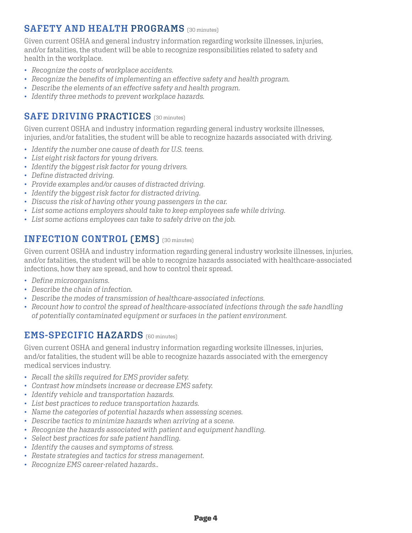### **SAFETY AND HEALTH PROGRAMS** (30 minutes)

Given current OSHA and general industry information regarding worksite illnesses, injuries, and/or fatalities, the student will be able to recognize responsibilities related to safety and health in the workplace.

- *Recognize the costs of workplace accidents.*
- *Recognize the benefits of implementing an effective safety and health program.*
- *Describe the elements of an effective safety and health program.*
- *Identify three methods to prevent workplace hazards.*

#### **SAFE DRIVING PRACTICES** [30 minutes]

Given current OSHA and industry information regarding general industry worksite illnesses, injuries, and/or fatalities, the student will be able to recognize hazards associated with driving.

- *Identify the number one cause of death for U.S. teens.*
- *List eight risk factors for young drivers.*
- *Identify the biggest risk factor for young drivers.*
- *Define distracted driving.*
- *Provide examples and/or causes of distracted driving.*
- *Identify the biggest risk factor for distracted driving.*
- *Discuss the risk of having other young passengers in the car.*
- *List some actions employers should take to keep employees safe while driving.*
- *List some actions employees can take to safely drive on the job.*

#### **INFECTION CONTROL (EMS)** (30 minutes)

Given current OSHA and industry information regarding general industry worksite illnesses, injuries, and/or fatalities, the student will be able to recognize hazards associated with healthcare-associated infections, how they are spread, and how to control their spread.

- *Define microorganisms.*
- *Describe the chain of infection.*
- *Describe the modes of transmission of healthcare-associated infections.*
- *Recount how to control the spread of healthcare-associated infections through the safe handling of potentially contaminated equipment or surfaces in the patient environment.*

#### **EMS-SPECIFIC HAZARDS** (60 minutes)

Given current OSHA and general industry information regarding worksite illnesses, injuries, and/or fatalities, the student will be able to recognize hazards associated with the emergency medical services industry.

- *Recall the skills required for EMS provider safety.*
- *Contrast how mindsets increase or decrease EMS safety.*
- *Identify vehicle and transportation hazards.*
- *List best practices to reduce transportation hazards.*
- *Name the categories of potential hazards when assessing scenes.*
- *Describe tactics to minimize hazards when arriving at a scene.*
- *Recognize the hazards associated with patient and equipment handling.*
- *Select best practices for safe patient handling.*
- *Identify the causes and symptoms of stress.*
- *Restate strategies and tactics for stress management.*
- *Recognize EMS career-related hazards..*